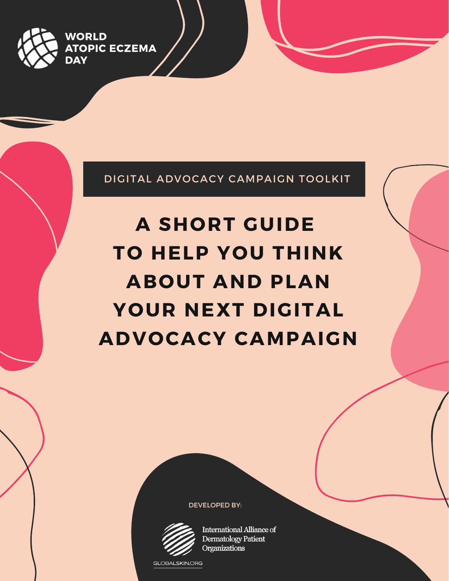

DIGITAL ADVOCACY CAMPAIGN TOOLKIT

# **A SHORT GUIDE TO HELP YOU THINK ABOUT AND PLAN YOUR NEXT DIGITAL ADVOCACY CAMPAIGN**

DEVELOPED BY:



**International Alliance of Dermatology Patient** Organizations

GLOBALSKIN.ORG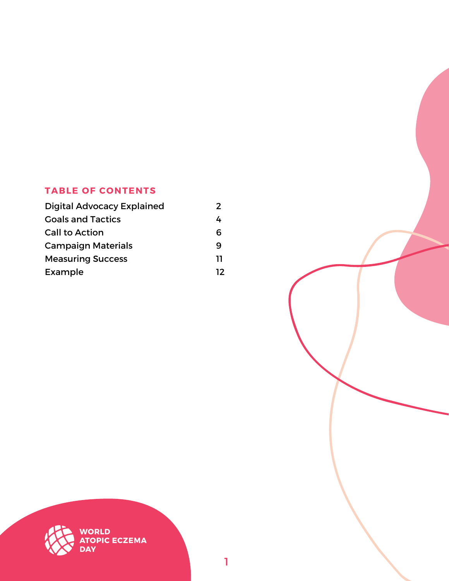# **TABLE OF CONTENTS**

| <b>Digital Advocacy Explained</b> | 2  |
|-----------------------------------|----|
| <b>Goals and Tactics</b>          |    |
| <b>Call to Action</b>             | 6  |
| <b>Campaign Materials</b>         | q  |
| <b>Measuring Success</b>          | וו |
| Example                           | 12 |



1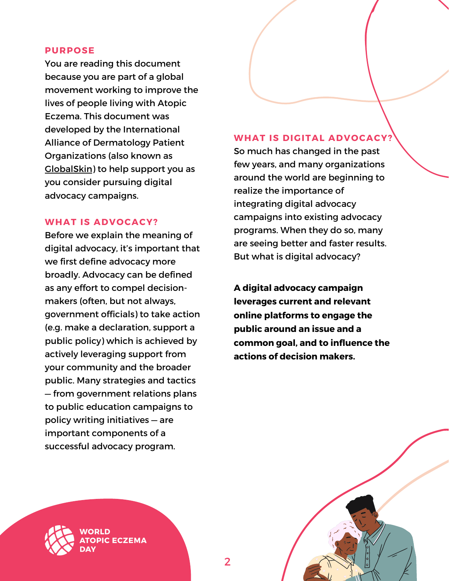#### **PURPOSE**

You are reading this document because you are part of a global movement working to improve the lives of people living with Atopic Eczema. This document was developed by the International Alliance of Dermatology Patient Organizations (also known as [GlobalSkin\)](https://globalskin.org/) to help support you as you consider pursuing digital advocacy campaigns.

#### **WHAT IS ADVOCACY?**

Before we explain the meaning of digital advocacy, it's important that we first define advocacy more broadly. Advocacy can be defined as any effort to compel decisionmakers (often, but not always, government officials) to take action (e.g. make a declaration, support a public policy) which is achieved by actively leveraging support from your community and the broader public. Many strategies and tactics — from government relations plans to public education campaigns to policy writing initiatives — are important components of a successful advocacy program.

#### **WHAT IS DIGITAL ADVOCACY?**

So much has changed in the past few years, and many organizations around the world are beginning to realize the importance of integrating digital advocacy campaigns into existing advocacy programs. When they do so, many are seeing better and faster results. But what is digital advocacy?

**A digital advocacy campaign leverages current and relevant online platforms to engage the public around an issue and a common goal, and to influence the actions of decision makers.**

2



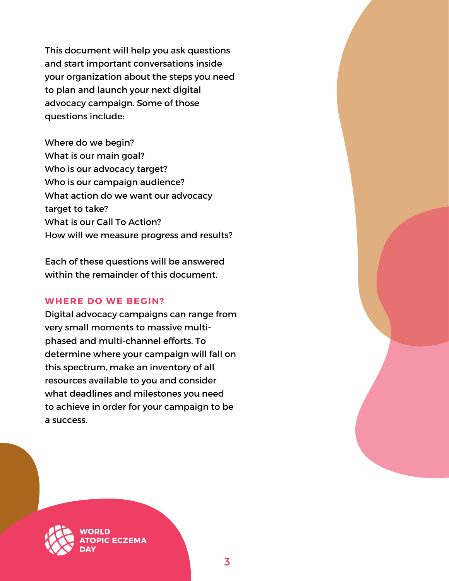This document will help you ask questions and start important conversations inside your organization about the steps you need to plan and launch your next digital advocacy campaign. Some of those questions include:

Where do we begin? What is our main goal? Who is our advocacy target? Who is our campaign audience? What action do we want our advocacy target to take? What is our Call To Action? How will we measure progress and results?

Each of these questions will be answered within the remainder of this document.

# **WHERE DO WE BEGIN?**

Digital advocacy campaigns can range from very small moments to massive multiphased and multi-channel efforts. To determine where your campaign will fall on this spectrum, make an inventory of all resources available to you and consider what deadlines and milestones you need to achieve in order for your campaign to be a success.

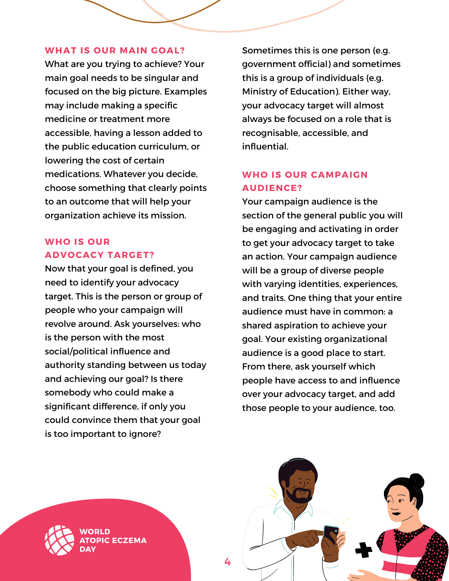#### **WHAT IS OUR MAIN GOAL?**

What are you trying to achieve? Your main goal needs to be singular and focused on the big picture. Examples may include making a specific medicine or treatment more accessible, having a lesson added to the public education curriculum, or lowering the cost of certain medications. Whatever you decide, choose something that clearly points to an outcome that will help your organization achieve its mission.

# **WHO IS OUR ADVOCACY TARGET?**

Now that your goal is defined, you need to identify your advocacy target. This is the person or group of people who your campaign will revolve around. Ask yourselves: who is the person with the most social/political influence and authority standing between us today and achieving our goal? Is there somebody who could make a significant difference, if only you could convince them that your goal is too important to ignore?

Sometimes this is one person (e.g. government official) and sometimes this is a group of individuals (e.g. Ministry of Education). Either way, your advocacy target will almost always be focused on a role that is recognisable, accessible, and influential.

# **WHO IS OUR CAMPAIGN AUDIENCE?**

Your campaign audience is the section of the general public you will be engaging and activating in order to get your advocacy target to take an action. Your campaign audience will be a group of diverse people with varying identities, experiences, and traits. One thing that your entire audience must have in common: a shared aspiration to achieve your goal. Your existing organizational audience is a good place to start. From there, ask yourself which people have access to and influence over your advocacy target, and add those people to your audience, too.



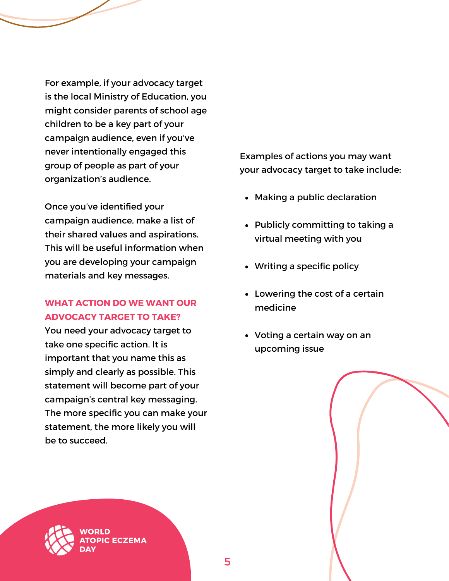For example, if your advocacy target is the local Ministry of Education, you might consider parents of school age children to be a key part of your campaign audience, even if you've never intentionally engaged this group of people as part of your organization's audience.

Once you've identified your campaign audience, make a list of their shared values and aspirations. This will be useful information when you are developing your campaign materials and key messages.

# **WHAT ACTION DO WE WANT OUR ADVOCACY TARGET TO TAKE?**

You need your advocacy target to take one specific action. It is important that you name this as simply and clearly as possible. This statement will become part of your campaign's central key messaging. The more specific you can make your statement, the more likely you will be to succeed.

Examples of actions you may want your advocacy target to take include:

- Making a public declaration
- Publicly committing to taking a virtual meeting with you
- Writing a specific policy
- Lowering the cost of a certain medicine
- Voting a certain way on an upcoming issue

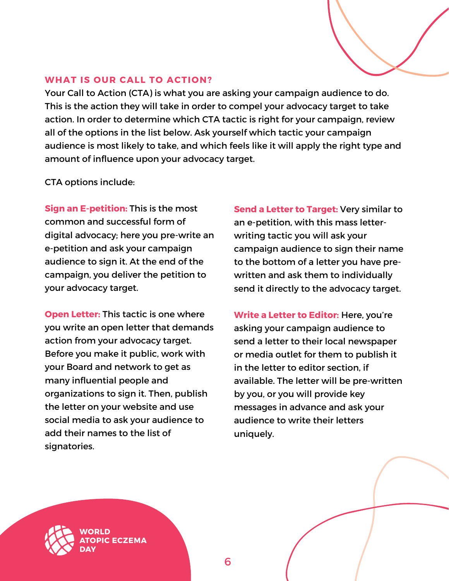# **WHAT IS OUR CALL TO ACTION?**

Your Call to Action (CTA) is what you are asking your campaign audience to do. This is the action they will take in order to compel your advocacy target to take action. In order to determine which CTA tactic is right for your campaign, review all of the options in the list below. Ask yourself which tactic your campaign audience is most likely to take, and which feels like it will apply the right type and amount of influence upon your advocacy target.

CTA options include:

**Sign an E-petition:** This is the most common and successful form of digital advocacy; here you pre-write an e-petition and ask your campaign audience to sign it. At the end of the campaign, you deliver the petition to your advocacy target.

**Open Letter:** This tactic is one where you write an open letter that demands action from your advocacy target. Before you make it public, work with your Board and network to get as many influential people and organizations to sign it. Then, publish the letter on your website and use social media to ask your audience to add their names to the list of signatories.

**ECZEMA** 

**Send a Letter to Target:** Very similar to an e-petition, with this mass letterwriting tactic you will ask your campaign audience to sign their name to the bottom of a letter you have prewritten and ask them to individually send it directly to the advocacy target.

**Write a Letter to Editor:** Here, you're asking your campaign audience to send a letter to their local newspaper or media outlet for them to publish it in the letter to editor section, if available. The letter will be pre-written by you, or you will provide key messages in advance and ask your audience to write their letters uniquely.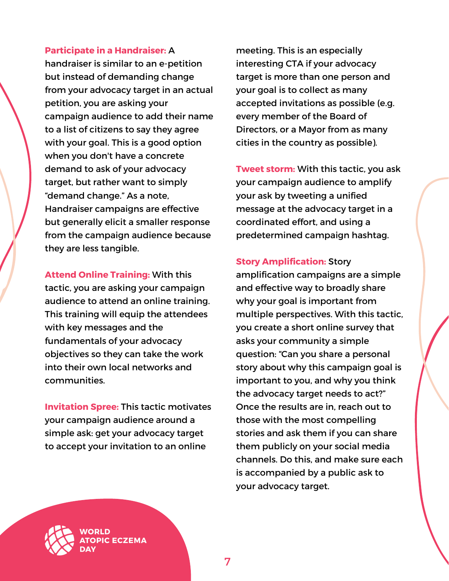# **Participate in a Handraiser:** A

handraiser is similar to an e-petition but instead of demanding change from your advocacy target in an actual petition, you are asking your campaign audience to add their name to a list of citizens to say they agree with your goal. This is a good option when you don't have a concrete demand to ask of your advocacy target, but rather want to simply "demand change." As a note, Handraiser campaigns are effective but generally elicit a smaller response from the campaign audience because they are less tangible.

**Attend Online Training:** With this tactic, you are asking your campaign audience to attend an online training. This training will equip the attendees with key messages and the fundamentals of your advocacy objectives so they can take the work into their own local networks and communities.

**Invitation Spree:** This tactic motivates your campaign audience around a simple ask: get your advocacy target to accept your invitation to an online

meeting. This is an especially interesting CTA if your advocacy target is more than one person and your goal is to collect as many accepted invitations as possible (e.g. every member of the Board of Directors, or a Mayor from as many cities in the country as possible).

**Tweet storm:** With this tactic, you ask your campaign audience to amplify your ask by tweeting a unified message at the advocacy target in a coordinated effort, and using a predetermined campaign hashtag.

#### **Story Amplification:** Story

amplification campaigns are a simple and effective way to broadly share why your goal is important from multiple perspectives. With this tactic, you create a short online survey that asks your community a simple question: "Can you share a personal story about why this campaign goal is important to you, and why you think the advocacy target needs to act?" Once the results are in, reach out to those with the most compelling stories and ask them if you can share them publicly on your social media channels. Do this, and make sure each is accompanied by a public ask to your advocacy target.

ח וסמי **CECZEMA**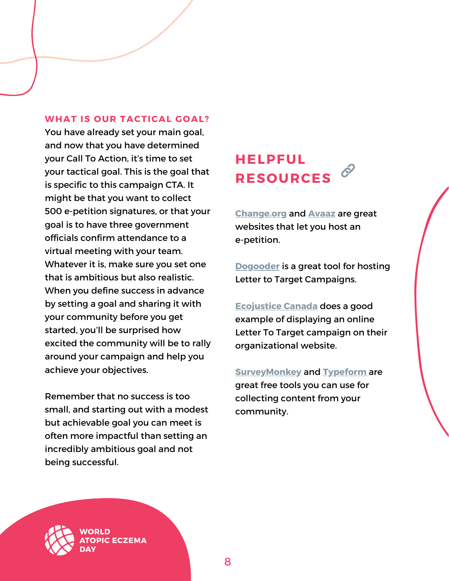#### **WHAT IS OUR TACTICAL GOAL?**

You have already set your main goal, and now that you have determined your Call To Action, it's time to set your tactical goal. This is the goal that is specific to this campaign CTA. It might be that you want to collect 500 e-petition signatures, or that your goal is to have three government officials confirm attendance to a virtual meeting with your team. Whatever it is, make sure you set one that is ambitious but also realistic. When you define success in advance by setting a goal and sharing it with your community before you get started, you'll be surprised how excited the community will be to rally around your campaign and help you achieve your objectives.

Remember that no success is too small, and starting out with a modest but achievable goal you can meet is often more impactful than setting an incredibly ambitious goal and not being successful.

**CECZEMA** 

# **HELPFUL RESOURCES**

**[Change.org](https://www.change.org/start-a-petition)** and **[Avaaz](https://secure.avaaz.org/page/en/)** are great websites that let you host an e-petition.

**[Dogooder](https://dogooder.co/)** is a great tool for hosting Letter to Target Campaigns.

**[Ecojustice](https://www.support.ecojustice.ca/page/103543/action/1) Canada** does a good example of displaying an online Letter To Target campaign on their organizational website.

**[SurveyMonkey](http://surveymonkey.com/)** and **[Typeform](https://www.typeform.com/)** are great free tools you can use for collecting content from your community.

ח וסמו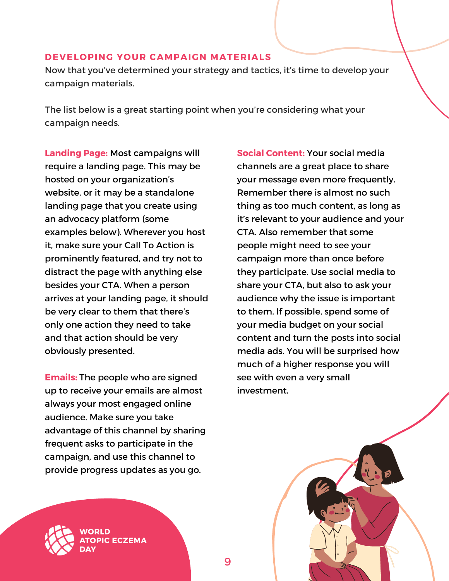#### **DEVELOPING YOUR CAMPAIGN MATERIALS**

Now that you've determined your strategy and tactics, it's time to develop your campaign materials.

9

The list below is a great starting point when you're considering what your campaign needs.

**Landing Page:** Most campaigns will require a landing page. This may be hosted on your organization's website, or it may be a standalone landing page that you create using an advocacy platform (some examples below). Wherever you host it, make sure your Call To Action is prominently featured, and try not to distract the page with anything else besides your CTA. When a person arrives at your landing page, it should be very clear to them that there's only one action they need to take and that action should be very obviously presented.

**Emails:** The people who are signed up to receive your emails are almost always your most engaged online audience. Make sure you take advantage of this channel by sharing frequent asks to participate in the campaign, and use this channel to provide progress updates as you go.

**ECZEMA** 

**Social Content:** Your social media channels are a great place to share your message even more frequently. Remember there is almost no such thing as too much content, as long as it's relevant to your audience and your CTA. Also remember that some people might need to see your campaign more than once before they participate. Use social media to share your CTA, but also to ask your audience why the issue is important to them. If possible, spend some of your media budget on your social content and turn the posts into social media ads. You will be surprised how much of a higher response you will see with even a very small investment.

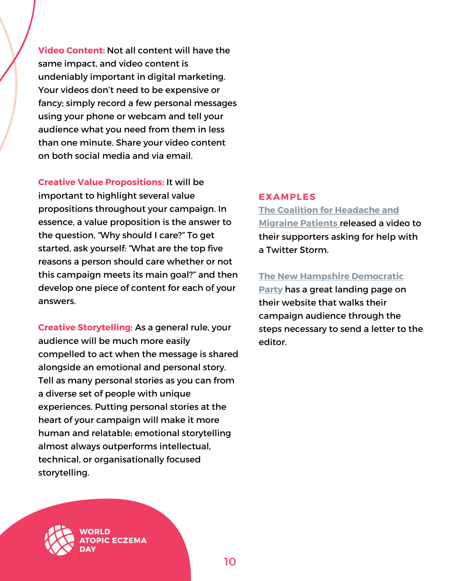**Video Content:** Not all content will have the same impact, and video content is undeniably important in digital marketing. Your videos don't need to be expensive or fancy; simply record a few personal messages using your phone or webcam and tell your audience what you need from them in less than one minute. Share your video content on both social media and via email.

**Creative Value Propositions:** It will be important to highlight several value propositions throughout your campaign. In essence, a value proposition is the answer to the question, "Why should I care?" To get started, ask yourself: "What are the top five reasons a person should care whether or not this campaign meets its main goal?" and then develop one piece of content for each of your answers.

**Creative Storytelling:** As a general rule, your audience will be much more easily compelled to act when the message is shared alongside an emotional and personal story. Tell as many personal stories as you can from a diverse set of people with unique experiences. Putting personal stories at the heart of your campaign will make it more human and relatable; emotional storytelling almost always outperforms intellectual, technical, or organisationally focused storytelling.

#### **EXAMPLES**

# **The Coalition for [Headache](https://www.youtube.com/watch?v=SSlCytq1ph0) and Migraine Patients** released a video to their supporters asking for help with a Twitter Storm.

# **The New Hampshire [Democratic](https://www.nhdp.org/write-a-letter)**

**Party** has a great landing page on their website that walks their campaign audience through the steps necessary to send a letter to the editor.

**ECZEMA**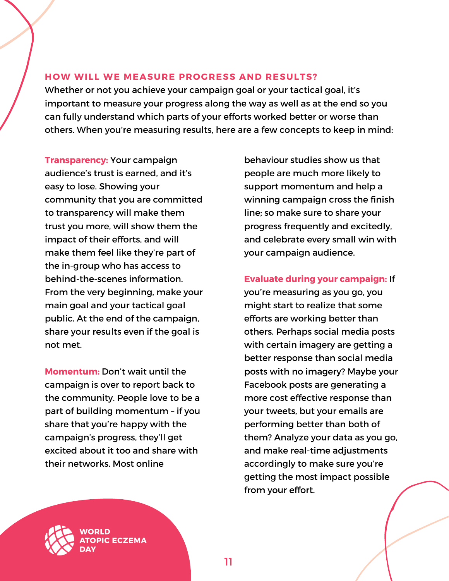# **HOW WILL WE MEASURE PROGRESS AND RESULTS?**

Whether or not you achieve your campaign goal or your tactical goal, it's important to measure your progress along the way as well as at the end so you can fully understand which parts of your efforts worked better or worse than others. When you're measuring results, here are a few concepts to keep in mind:

**Transparency:** Your campaign audience's trust is earned, and it's easy to lose. Showing your community that you are committed to transparency will make them trust you more, will show them the impact of their efforts, and will make them feel like they're part of the in-group who has access to behind-the-scenes information. From the very beginning, make your main goal and your tactical goal public. At the end of the campaign, share your results even if the goal is not met.

**Momentum:** Don't wait until the campaign is over to report back to the community. People love to be a part of building momentum – if you share that you're happy with the campaign's progress, they'll get excited about it too and share with their networks. Most online

behaviour studies show us that people are much more likely to support momentum and help a winning campaign cross the finish line; so make sure to share your progress frequently and excitedly, and celebrate every small win with your campaign audience.

# **Evaluate during your campaign:** If

you're measuring as you go, you might start to realize that some efforts are working better than others. Perhaps social media posts with certain imagery are getting a better response than social media posts with no imagery? Maybe your Facebook posts are generating a more cost effective response than your tweets, but your emails are performing better than both of them? Analyze your data as you go, and make real-time adjustments accordingly to make sure you're getting the most impact possible from your effort.

**CECZEMA**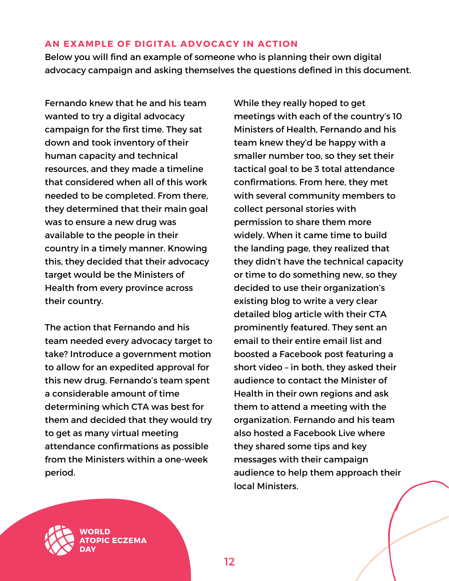#### **AN EXAMPLE OF DIGITAL ADVOCACY IN ACTION**

Below you will find an example of someone who is planning their own digital advocacy campaign and asking themselves the questions defined in this document.

Fernando knew that he and his team wanted to try a digital advocacy campaign for the first time. They sat down and took inventory of their human capacity and technical resources, and they made a timeline that considered when all of this work needed to be completed. From there, they determined that their main goal was to ensure a new drug was available to the people in their country in a timely manner. Knowing this, they decided that their advocacy target would be the Ministers of Health from every province across their country.

The action that Fernando and his team needed every advocacy target to take? Introduce a government motion to allow for an expedited approval for this new drug. Fernando's team spent a considerable amount of time determining which CTA was best for them and decided that they would try to get as many virtual meeting attendance confirmations as possible from the Ministers within a one-week period.

While they really hoped to get meetings with each of the country's 10 Ministers of Health, Fernando and his team knew they'd be happy with a smaller number too, so they set their tactical goal to be 3 total attendance confirmations. From here, they met with several community members to collect personal stories with permission to share them more widely. When it came time to build the landing page, they realized that they didn't have the technical capacity or time to do something new, so they decided to use their organization's existing blog to write a very clear detailed blog article with their CTA prominently featured. They sent an email to their entire email list and boosted a Facebook post featuring a short video – in both, they asked their audience to contact the Minister of Health in their own regions and ask them to attend a meeting with the organization. Fernando and his team also hosted a Facebook Live where they shared some tips and key messages with their campaign audience to help them approach their local Ministers.

**ECZEMA**